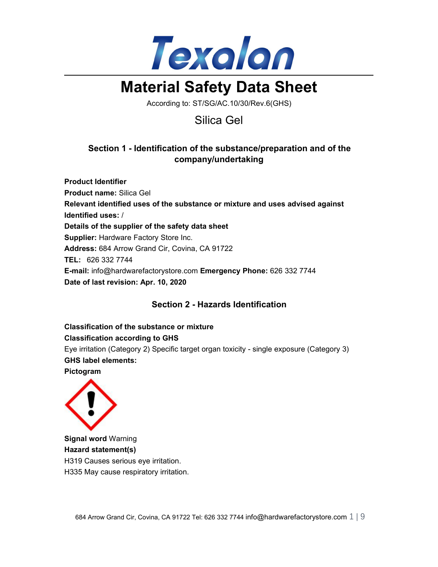

# **Material Safety Data Sheet**

According to: ST/SG/AC.10/30/Rev.6(GHS)

## Silica Gel

## **Section 1 - Identification of the substance/preparation and of the company/undertaking**

**Product Identifier Product name:** Silica Gel **Relevant identified uses of the substance or mixture and uses advised against Identified uses:** / **Details of the supplier of the safety data sheet Supplier:** Hardware Factory Store Inc. **Address:** 684 Arrow Grand Cir, Covina, CA 91722 **TEL:** 626 332 7744 **E-mail:** info@hardwarefactorystore.com **Emergency Phone:** 626 332 7744 **Date of last revision: Apr. 10, 2020**

## **Section 2 - Hazards Identification**

**Classification of the substance or mixture Classification according to GHS**

Eye irritation (Category 2) Specific target organ toxicity - single exposure (Category 3) **GHS label elements:**

**Pictogram**



**Signal word** Warning **Hazard statement(s)** H319 Causes serious eye irritation. H335 May cause respiratory irritation.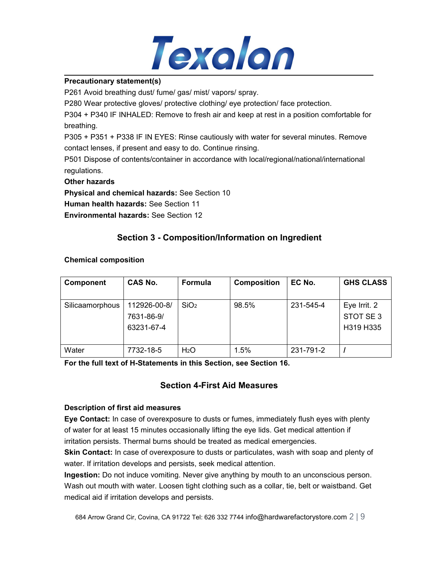

#### **Precautionary statement(s)**

P261 Avoid breathing dust/ fume/ gas/ mist/ vapors/ spray.

P280 Wear protective gloves/ protective clothing/ eye protection/ face protection.

P304 + P340 IF INHALED: Remove to fresh air and keep at rest in a position comfortable for breathing.

P305 + P351 + P338 IF IN EYES: Rinse cautiously with water forseveral minutes. Remove contact lenses, if present and easy to do. Continue rinsing.

P501 Dispose of contents/container in accordance with local/regional/national/international regulations.

#### **Other hazards**

**Physical and chemical hazards:** See Section 10

**Human health hazards:** See Section 11

**Environmental hazards:** See Section 12

## **Section 3 - Composition/Information on Ingredient**

#### **Chemical composition**

| <b>Component</b> | <b>CAS No.</b>                           | Formula          | <b>Composition</b> | EC No.    | <b>GHS CLASS</b>                      |
|------------------|------------------------------------------|------------------|--------------------|-----------|---------------------------------------|
| Silicaamorphous  | 112926-00-8/<br>7631-86-9/<br>63231-67-4 | SiO <sub>2</sub> | 98.5%              | 231-545-4 | Eye Irrit. 2<br>STOT SE3<br>H319 H335 |
| Water            | 7732-18-5                                | H <sub>2</sub> O | 1.5%               | 231-791-2 |                                       |

**For the full text of H-Statements in this Section,see Section 16.**

## **Section 4-First Aid Measures**

#### **Description of first aid measures**

**Eye Contact:** In case of overexposure to dusts or fumes, immediately flush eyes with plenty of water for atleast 15 minutes occasionally lifting the eye lids. Get medical attention if irritation persists. Thermal burns should be treated as medical emergencies.

**Skin Contact:** In case of overexposure to dusts or particulates, wash with soap and plenty of water. If irritation develops and persists, seek medical attention.

**Ingestion:** Do not induce vomiting. Never give anything by mouth to an unconscious person. Wash out mouth with water. Loosen tight clothing such as a collar, tie, belt or waistband. Get medical aid if irritation develops and persists.

684 Arrow Grand Cir, Covina, CA 91722 Tel: 626 332 7744 info@hardwarefactorystore.com  $2 \mid 9$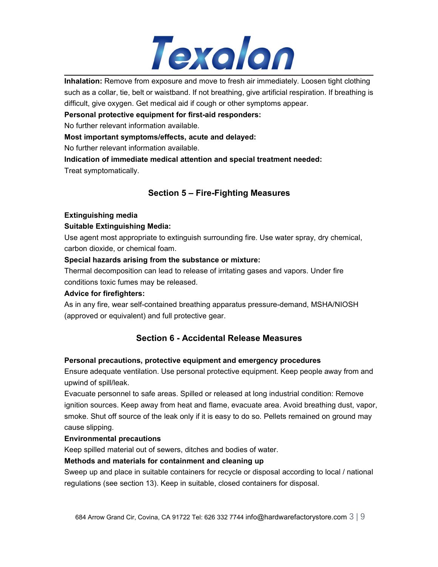

**Inhalation:** Remove from exposure and move to fresh air immediately. Loosen tight clothing such as a collar, tie, belt or waistband. If not breathing, give artificial respiration. If breathing is difficult, give oxygen. Get medical aid if cough or other symptoms appear.

**Personal protective equipment for first-aid responders:**

No further relevant information available.

#### **Most important symptoms/effects, acute and delayed:**

No further relevant information available.

**Indication of immediate medical attention and special treatment needed:** Treat symptomatically.

## **Section 5 – Fire-Fighting Measures**

#### **Extinguishing media**

#### **Suitable Extinguishing Media:**

Use agent most appropriate to extinguish surrounding fire. Use water spray, dry chemical, carbon dioxide, or chemical foam.

#### **Special hazards arising from the substance or mixture:**

Thermal decomposition can lead to release of irritating gases and vapors. Under fire conditions toxic fumes may be released.

#### **Advice for firefighters:**

As in any fire, wear self-contained breathing apparatus pressure-demand, MSHA/NIOSH (approved or equivalent) and full protective gear.

## **Section 6 - Accidental Release Measures**

#### **Personal precautions, protective equipment and emergency procedures**

Ensure adequate ventilation. Use personal protective equipment.Keep people away from and upwind of spill/leak.

Evacuate personnel to safe areas. Spilled or released at long industrial condition: Remove ignition sources. Keep away from heat and flame, evacuate area. Avoid breathing dust, vapor, smoke. Shut off source of the leak only if it is easy to do so. Pellets remained on ground may cause slipping.

#### **Environmental precautions**

Keep spilled material out of sewers, ditches and bodies of water.

#### **Methods and materials for containment and cleaning up**

Sweep up and place in suitable containers for recycle or disposal according to local / national regulations (see section 13). Keep in suitable, closed containers for disposal.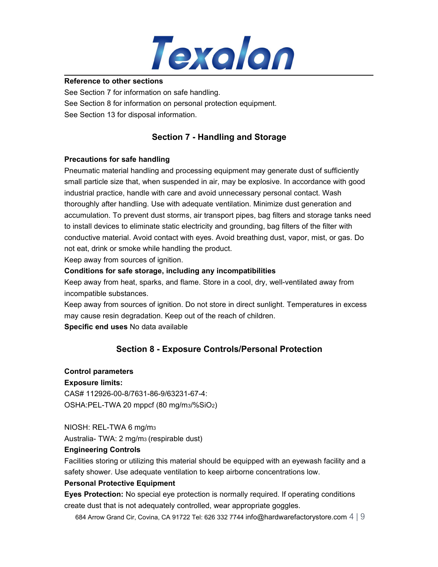

#### **Reference to other sections**

See Section 7 for information on safe handling. See Section 8 for information on personal protection equipment.<br>See Section 13 for disposal information.

## **Section 7 - Handling and Storage**

#### **Precautions for safe handling**

Pneumatic material handling and processing equipment may generate dust of sufficiently small particle size that, when suspended in air, may be explosive. In accordance with good industrial practice, handle with care and avoid unnecessary personal contact. Wash thoroughly after handling. Use with adequate ventilation. Minimize dust generation and accumulation. To prevent dust storms, air transport pipes, bag filters and storage tanks need to install devices to eliminate static electricity and grounding, bag filters of the filter with conductive material. Avoid contact with eyes. Avoid breathing dust, vapor, mist, or gas. Do not eat, drink or smoke while handling the product.

Keep away from sources of ignition.

#### **Conditions for safe storage, including any incompatibilities**

Keep away from heat, sparks, and flame. Store in a cool, dry, well-ventilated away from incompatible substances.

Keep away from sources of ignition. Do not store in direct sunlight. Temperatures in excess may cause resin degradation. Keep out of the reach of children.

**Specific end uses** No data available

## **Section 8 - Exposure Controls/Personal Protection**

#### **Control parameters**

#### **Exposure limits:**

CAS# 112926-00-8/7631-86-9/63231-67-4: OSHA:PEL-TWA 20 mppcf (80 mg/m3/%SiO2)

NIOSH: REL-TWA 6 mg/m<sup>3</sup>

Australia- TWA: 2 mg/m<sup>3</sup> (respirable dust)

#### **Engineering Controls**

Facilities storing or utilizing this material should be equipped with an eyewash facility and a safety shower. Use adequate ventilation to keep airborne concentrations low.

#### **Personal Protective Equipment**

**Eyes Protection:** No special eye protection is normally required.If operating conditions create dust that is not adequately controlled, wear appropriate goggles.

684 Arrow Grand Cir, Covina, CA 91722 Tel: 626 332 7744 info@hardwarefactorystore.com  $4 \mid 9$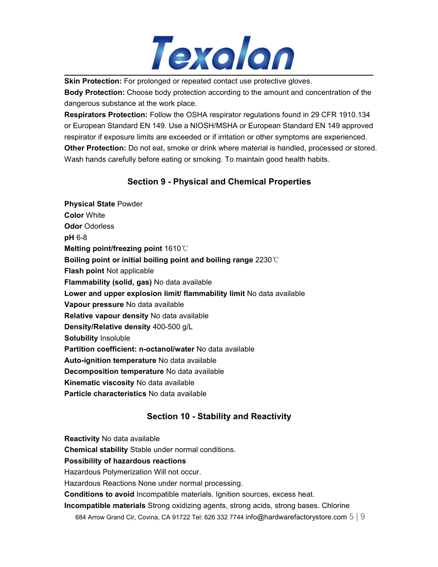

**Skin Protection:** For prolonged or repeated contact use protective gloves.

**Body Protection:** Choose body protection according to the amount and concentration of the dangerous substance at the work place.

**Respirators Protection:** Follow the OSHA respirator regulations found in 29 CFR 1910.134 or European Standard EN 149. Use a NIOSH/MSHA or European Standard EN 149 approved respirator if exposure limits are exceeded or if irritation or other symptoms are experienced. **Other Protection:** Do not eat, smoke or drink where material is handled, processed or stored. Wash hands carefully before eating or smoking. To maintain good health habits.

## **Section 9 - Physical and Chemical Properties**

**Physical State** Powder **Color** White **Odor** Odorless **pH** 6-8 **Melting point/freezing point** 1610℃ **Boiling point or initial boiling point and boiling range** 2230℃ **Flash point** Not applicable **Flammability (solid, gas)** No data available **Lower and upper explosion limit/ flammability limit** No data available **Vapour pressure** No data available **Relative vapour density** No data available **Density/Relative density** 400-500 g/L **Solubility** Insoluble **Partition coefficient: n-octanol/water** No data available **Auto-ignition temperature** No data available **Decomposition temperature** No data available **Kinematic viscosity** No data available **Particle characteristics** No data available

## **Section 10 - Stability and Reactivity**

**Reactivity** No data available

**Chemical stability** Stable under normal conditions.

**Possibility of hazardous reactions**

Hazardous Polymerization Will not occur.

Hazardous Reactions None under normal processing.

**Conditions to avoid** Incompatible materials. Ignition sources, excess heat.

**Incompatible materials** Strong oxidizing agents, strong acids, strong bases. Chlorine

684 Arrow Grand Cir, Covina, CA 91722 Tel: 626 332 7744 info@hardwarefactorystore.com  $5 | 9$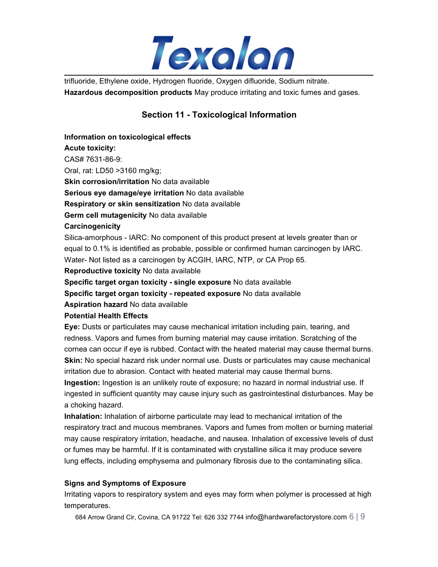

trifluoride, Ethylene oxide, Hydrogen fluoride, Oxygen difluoride, Sodium nitrate. **Hazardous decomposition products** May produce irritating and toxic fumes and gases.

## **Section 11 - Toxicological Information**

## **Information on toxicological effects Acute toxicity:** CAS# 7631-86-9: Oral, rat: LD50 >3160 mg/kg; **Skin corrosion/irritation** No data available **Serious eye damage/eye irritation** No data available **Respiratory or skin sensitization** No data available **Germ cell mutagenicity** No data available **Carcinogenicity** Silica-amorphous - IARC: No component of this product present at levels greater than or equal to 0.1% is identified as probable, possible or confirmed human carcinogen by IARC. Water- Not listed as a carcinogen by ACGIH, IARC, NTP, or CA Prop 65. **Reproductive toxicity** No data available **Specific target organ toxicity - single exposure** No data available **Specific target organ toxicity - repeated exposure** No data available **Aspiration hazard** No data available **Potential Health Effects**

**Eye:** Dusts or particulates may cause mechanical irritation including pain, tearing, and redness. Vapors and fumes from burning material may cause irritation. Scratching of the cornea can occur if eye is rubbed. Contact with the heated material may cause thermal burns. **Skin:** No special hazard risk under normal use. Dusts or particulates may cause mechanical irritation due to abrasion. Contact with heated material may cause thermal burns.

**Ingestion:** Ingestion is an unlikely route of exposure; no hazard in normal industrial use. If ingested in sufficient quantity may cause injury such as gastrointestinal disturbances. May be a choking hazard.

**Inhalation:** Inhalation of airborne particulate may lead to mechanical irritation of the respiratory tract and mucous membranes. Vapors and fumes from molten or burning material may cause respiratory irritation, headache, and nausea. Inhalation of excessive levels of dust or fumes may be harmful. If it is contaminated with crystalline silica it may produce severe lung effects, including emphysema and pulmonary fibrosis due to the contaminating silica.

#### **Signs and Symptoms of Exposure**

Irritating vapors to respiratory system and eyes may form when polymer is processed at high temperatures.

684 Arrow Grand Cir, Covina, CA 91722 Tel: 626 332 7744 info@hardwarefactorystore.com  $6 \mid 9$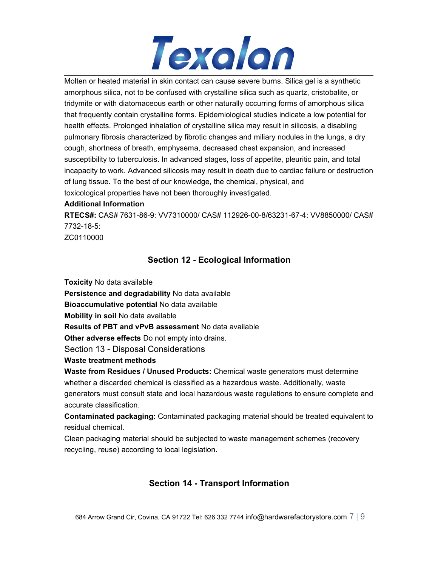

Molten or heated material in skin contact can cause severe burns. Silica gel is a synthetic amorphous silica, not to be confused with crystalline silica such as quartz, cristobalite, or tridymite or with diatomaceous earth or other naturally occurring forms of amorphous silica that frequently contain crystalline forms. Epidemiological studies indicate a low potential for health effects. Prolonged inhalation of crystalline silica may result in silicosis, a disabling pulmonary fibrosis characterized by fibrotic changes and miliary nodules in the lungs, a dry cough, shortness of breath, emphysema, decreased chest expansion, and increased susceptibility to tuberculosis. In advanced stages, loss of appetite, pleuritic pain, and total incapacity to work. Advanced silicosis may result in death due to cardiac failure or destruction of lung tissue. To the best of our knowledge, the chemical, physical, and toxicological properties have not been thoroughly investigated.

#### **Additional Information**

**RTECS#:** CAS# 7631-86-9: VV7310000/ CAS# 112926-00-8/63231-67-4: VV8850000/ CAS# 7732-18-5:

ZC0110000

## **Section 12 - Ecological Information**

**Toxicity** No data available

**Persistence and degradability** No data available

**Bioaccumulative potential** No data available

**Mobility in soil** No data available

**Results of PBT and vPvB assessment** No data available

**Other adverse effects** Do not empty into drains.

Section 13 - Disposal Considerations

**Waste treatment methods**

**Waste from Residues / Unused Products:** Chemical waste generators must determine whether a discarded chemical is classified as a hazardous waste. Additionally, waste generators must consult state and local hazardous waste regulations to ensure complete and accurate classification.

**Contaminated packaging:** Contaminated packaging material should be treated equivalent to residual chemical.

Clean packaging material should be subjected to waste management schemes (recovery recycling, reuse) according to local legislation.

## **Section 14 - Transport Information**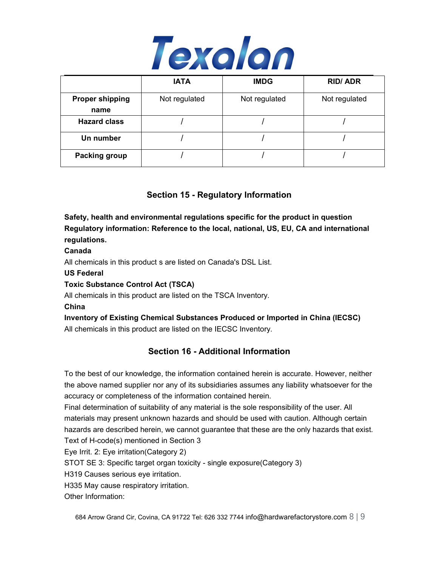

|                                | <b>IATA</b>   | <b>IMDG</b>   | <b>RID/ADR</b> |
|--------------------------------|---------------|---------------|----------------|
| <b>Proper shipping</b><br>name | Not regulated | Not regulated | Not regulated  |
| <b>Hazard class</b>            |               |               |                |
| Un number                      |               |               |                |
| <b>Packing group</b>           |               |               |                |

## **Section 15 - Regulatory Information**

**Safety, health and environmental regulations specific for the product in question Regulatory information: Reference to the local, national, US, EU, CA and international regulations.**

#### **Canada**

All chemicals in this product s are listed on Canada's DSL List.

**US Federal**

#### **Toxic Substance Control Act (TSCA)**

All chemicals in this product are listed on the TSCA Inventory.

#### **China**

**Inventory of Existing Chemical Substances Produced or Imported in China (IECSC)** All chemicals in this product are listed on the IECSC Inventory.

## **Section 16 - Additional Information**

To the best of our knowledge, the information contained herein is accurate. However, neither the above named supplier nor any of its subsidiaries assumes any liability whatsoever for the accuracy or completeness of the information contained herein.

Final determination of suitability of any material is the sole responsibility of the user. All materials may present unknown hazards and should be used with caution. Although certain hazards are described herein, we cannot guarantee that these are the only hazards that exist.

Text of H-code(s) mentioned in Section 3

Eye Irrit. 2: Eye irritation(Category 2)

STOT SE 3: Specific target organ toxicity - single exposure(Category 3)

H319 Causes serious eye irritation.

H335 May cause respiratory irritation.

Other Information: